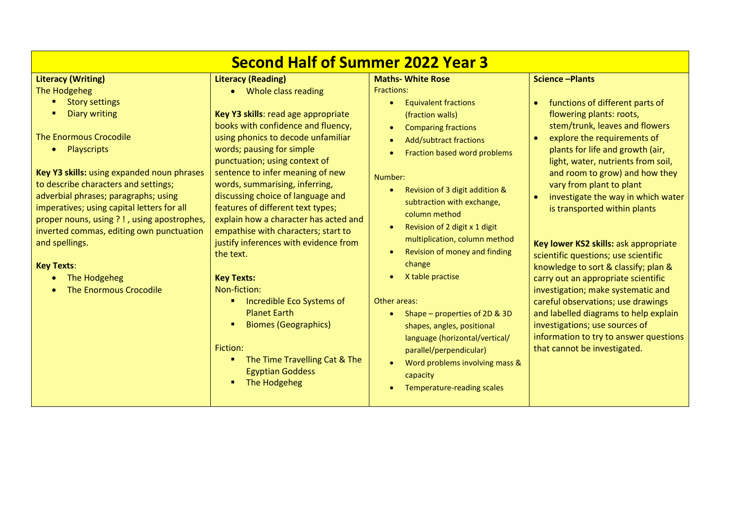| <b>Second Half of Summer 2022 Year 3</b>                                                                                                                                                                                                                                                                                                                                                                                                                                                                   |                                                                                                                                                                                                                                                                                                                                                                                                                                                                                                                                                                                                                                                                                                                                           |                                                                                                                                                                                                                                                                                                                                                                                                                                                                                                                                                                                                                                                                                                                                                              |                                                                                                                                                                                                                                                                                                                                                                                                                                                                                                                                                                                                                                                                                                                                                                                                |  |
|------------------------------------------------------------------------------------------------------------------------------------------------------------------------------------------------------------------------------------------------------------------------------------------------------------------------------------------------------------------------------------------------------------------------------------------------------------------------------------------------------------|-------------------------------------------------------------------------------------------------------------------------------------------------------------------------------------------------------------------------------------------------------------------------------------------------------------------------------------------------------------------------------------------------------------------------------------------------------------------------------------------------------------------------------------------------------------------------------------------------------------------------------------------------------------------------------------------------------------------------------------------|--------------------------------------------------------------------------------------------------------------------------------------------------------------------------------------------------------------------------------------------------------------------------------------------------------------------------------------------------------------------------------------------------------------------------------------------------------------------------------------------------------------------------------------------------------------------------------------------------------------------------------------------------------------------------------------------------------------------------------------------------------------|------------------------------------------------------------------------------------------------------------------------------------------------------------------------------------------------------------------------------------------------------------------------------------------------------------------------------------------------------------------------------------------------------------------------------------------------------------------------------------------------------------------------------------------------------------------------------------------------------------------------------------------------------------------------------------------------------------------------------------------------------------------------------------------------|--|
| <b>Literacy (Writing)</b><br>The Hodgeheg<br><b>Story settings</b><br><b>Diary writing</b><br><b>The Enormous Crocodile</b><br>• Playscripts<br>Key Y3 skills: using expanded noun phrases<br>to describe characters and settings;<br>adverbial phrases; paragraphs; using<br>imperatives; using capital letters for all<br>proper nouns, using ?!, using apostrophes,<br>inverted commas, editing own punctuation<br>and spellings.<br><b>Key Texts:</b><br>The Hodgeheg<br><b>The Enormous Crocodile</b> | <b>Literacy (Reading)</b><br>• Whole class reading<br>Key Y3 skills: read age appropriate<br>books with confidence and fluency,<br>using phonics to decode unfamiliar<br>words; pausing for simple<br>punctuation; using context of<br>sentence to infer meaning of new<br>words, summarising, inferring,<br>discussing choice of language and<br>features of different text types;<br>explain how a character has acted and<br>empathise with characters; start to<br>justify inferences with evidence from<br>the text.<br><b>Key Texts:</b><br>Non-fiction:<br>Incredible Eco Systems of<br><b>Planet Earth</b><br><b>Biomes (Geographics)</b><br>Fiction:<br>The Time Travelling Cat & The<br><b>Egyptian Goddess</b><br>The Hodgeheg | <b>Maths- White Rose</b><br><b>Fractions:</b><br><b>Equivalent fractions</b><br>$\bullet$<br>(fraction walls)<br><b>Comparing fractions</b><br>$\bullet$<br><b>Add/subtract fractions</b><br>$\bullet$<br>Fraction based word problems<br>Number:<br>Revision of 3 digit addition &<br>$\bullet$<br>subtraction with exchange,<br>column method<br>Revision of 2 digit x 1 digit<br>$\bullet$<br>multiplication, column method<br>Revision of money and finding<br>$\bullet$<br>change<br>X table practise<br>Other areas:<br>Shape – properties of 2D & 3D<br>$\bullet$<br>shapes, angles, positional<br>language (horizontal/vertical/<br>parallel/perpendicular)<br>Word problems involving mass &<br>$\bullet$<br>capacity<br>Temperature-reading scales | <b>Science-Plants</b><br>functions of different parts of<br>$\bullet$<br>flowering plants: roots,<br>stem/trunk, leaves and flowers<br>explore the requirements of<br>$\bullet$<br>plants for life and growth (air,<br>light, water, nutrients from soil,<br>and room to grow) and how they<br>vary from plant to plant<br>investigate the way in which water<br>is transported within plants<br>Key lower KS2 skills: ask appropriate<br>scientific questions; use scientific<br>knowledge to sort & classify; plan &<br>carry out an appropriate scientific<br>investigation; make systematic and<br>careful observations; use drawings<br>and labelled diagrams to help explain<br>investigations; use sources of<br>information to try to answer questions<br>that cannot be investigated. |  |